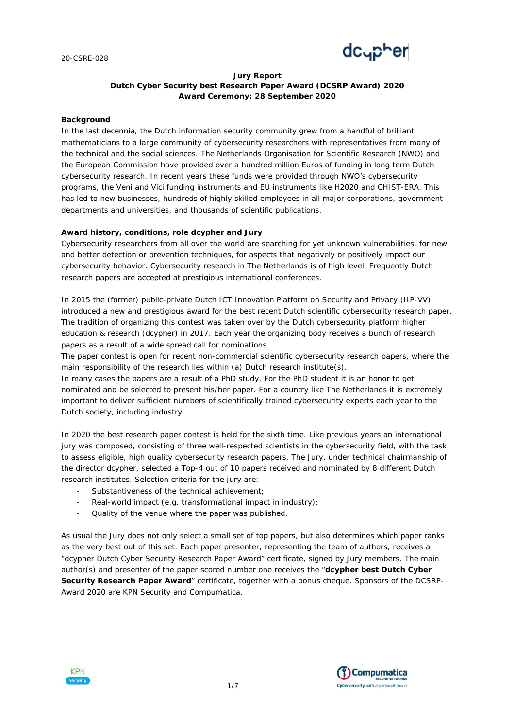

# **Jury Report Dutch Cyber Security best Research Paper Award (DCSRP Award) 2020 Award Ceremony: 28 September 2020**

#### **Background**

In the last decennia, the Dutch information security community grew from a handful of brilliant mathematicians to a large community of cybersecurity researchers with representatives from many of the technical and the social sciences. The Netherlands Organisation for Scientific Research (NWO) and the European Commission have provided over a hundred million Euros of funding in long term Dutch cybersecurity research. In recent years these funds were provided through NWO's cybersecurity programs, the Veni and Vici funding instruments and EU instruments like H2020 and CHIST-ERA. This has led to new businesses, hundreds of highly skilled employees in all major corporations, government departments and universities, and thousands of scientific publications.

#### **Award history, conditions, role dcypher and Jury**

*Cybersecurity researchers from all over the world are searching for yet unknown vulnerabilities, for new and better detection or prevention techniques, for aspects that negatively or positively impact our cybersecurity behavior. Cybersecurity research in The Netherlands is of high level. Frequently Dutch research papers are accepted at prestigious international conferences.*

In 2015 the (former) public-private Dutch ICT Innovation Platform on Security and Privacy (IIP-VV) introduced a new and prestigious award for the best recent Dutch scientific cybersecurity research paper. The tradition of organizing this contest was taken over by the Dutch cybersecurity platform higher education & research (dcypher) in 2017. Each year the organizing body receives a bunch of research papers as a result of a wide spread call for nominations.

The paper contest is open for recent non-commercial scientific cybersecurity research papers, where the main responsibility of the research lies within (a) Dutch research institute(s).

In many cases the papers are a result of a PhD study. For the PhD student it is an honor to get nominated and be selected to present his/her paper. For a country like The Netherlands it is extremely important to deliver sufficient numbers of scientifically trained cybersecurity experts each year to the Dutch society, including industry.

In 2020 the best research paper contest is held for the sixth time. Like previous years an international jury was composed, consisting of three well-respected scientists in the cybersecurity field, with the task to assess eligible, high quality cybersecurity research papers. The Jury, under technical chairmanship of the director dcypher, selected a Top-4 out of 10 papers received and nominated by 8 different Dutch research institutes. Selection criteria for the jury are:

- Substantiveness of the technical achievement;
- Real-world impact (e.g. transformational impact in industry);
- Quality of the venue where the paper was published.

As usual the Jury does not only select a small set of top papers, but also determines which paper ranks as the very best out of this set. Each paper presenter, representing the team of authors, receives a "dcypher Dutch Cyber Security Research Paper Award" certificate, signed by Jury members. The main author(s) and presenter of the paper scored number one receives the "**dcypher best Dutch Cyber Security Research Paper Award**" certificate, together with a bonus cheque. Sponsors of the DCSRP-Award 2020 are KPN Security and Compumatica.



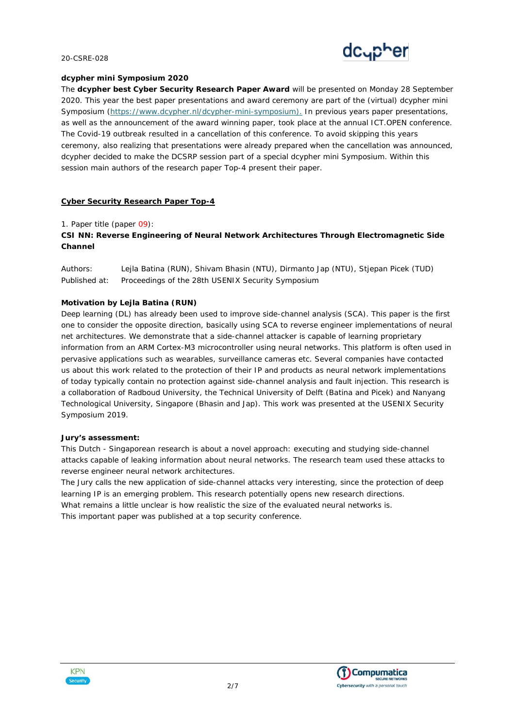

#### **dcypher mini Symposium 2020**

The **dcypher best Cyber Security Research Paper Award** will be presented on Monday 28 September 2020. This year the best paper presentations and award ceremony are part of the (virtual) dcypher mini Symposium [\(https://www.dcypher.nl/dcypher-mini-symposium\)](https://www.dcypher.nl/dcypher-mini-symposium). In previous years paper presentations, as well as the announcement of the award winning paper, took place at the annual ICT.OPEN conference. The Covid-19 outbreak resulted in a cancellation of this conference. To avoid skipping this years ceremony, also realizing that presentations were already prepared when the cancellation was announced, dcypher decided to make the DCSRP session part of a special dcypher mini Symposium. Within this session main authors of the research paper Top-4 present their paper.

### **Cyber Security Research Paper Top-4**

#### *1. Paper title (paper 09):*

**CSI NN: Reverse Engineering of Neural Network Architectures Through Electromagnetic Side Channel**

*Authors:* Lejla Batina (RUN), Shivam Bhasin (NTU), Dirmanto Jap (NTU), Stjepan Picek (TUD) *Published at*: Proceedings of the 28th USENIX Security Symposium

#### **Motivation by Lejla Batina (RUN)**

Deep learning (DL) has already been used to improve side-channel analysis (SCA). This paper is the first one to consider the opposite direction, basically using SCA to reverse engineer implementations of neural net architectures. We demonstrate that a side-channel attacker is capable of learning proprietary information from an ARM Cortex-M3 microcontroller using neural networks. This platform is often used in pervasive applications such as wearables, surveillance cameras etc. Several companies have contacted us about this work related to the protection of their IP and products as neural network implementations of today typically contain no protection against side-channel analysis and fault injection. This research is a collaboration of Radboud University, the Technical University of Delft (Batina and Picek) and Nanyang Technological University, Singapore (Bhasin and Jap). This work was presented at the USENIX Security Symposium 2019.

#### **Jury's assessment:**

This Dutch - Singaporean research is about a novel approach: executing and studying side-channel attacks capable of leaking information about neural networks. The research team used these attacks to reverse engineer neural network architectures.

The Jury calls the new application of side-channel attacks very interesting, since the protection of deep learning IP is an emerging problem. This research potentially opens new research directions.

What remains a little unclear is how realistic the size of the evaluated neural networks is. This important paper was published at a top security conference.



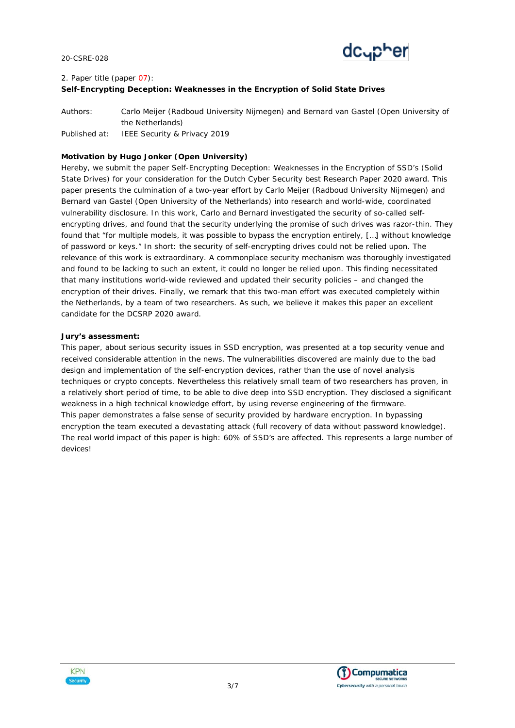

# *2. Paper title (paper 07):* **Self-Encrypting Deception: Weaknesses in the Encryption of Solid State Drives**

*Authors:* Carlo Meijer (Radboud University Nijmegen) and Bernard van Gastel (Open University of the Netherlands) *Published at:* IEEE Security & Privacy 2019

# **Motivation by Hugo Jonker (Open University)**

Hereby, we submit the paper Self-Encrypting Deception: Weaknesses in the Encryption of SSD's (Solid State Drives) for your consideration for the Dutch Cyber Security best Research Paper 2020 award. This paper presents the culmination of a two-year effort by Carlo Meijer (Radboud University Nijmegen) and Bernard van Gastel (Open University of the Netherlands) into research and world-wide, coordinated vulnerability disclosure. In this work, Carlo and Bernard investigated the security of so-called selfencrypting drives, and found that the security underlying the promise of such drives was razor-thin. They found that "for multiple models, it was possible to bypass the encryption entirely, […] without knowledge of password or keys." In short: the security of self-encrypting drives could not be relied upon. The relevance of this work is extraordinary. A commonplace security mechanism was thoroughly investigated and found to be lacking to such an extent, it could no longer be relied upon. This finding necessitated that many institutions world-wide reviewed and updated their security policies – and changed the encryption of their drives. Finally, we remark that this two-man effort was executed completely within the Netherlands, by a team of two researchers. As such, we believe it makes this paper an excellent candidate for the DCSRP 2020 award.

### **Jury's assessment:**

This paper, about serious security issues in SSD encryption, was presented at a top security venue and received considerable attention in the news. The vulnerabilities discovered are mainly due to the bad design and implementation of the self-encryption devices, rather than the use of novel analysis techniques or crypto concepts. Nevertheless this relatively small team of two researchers has proven, in a relatively short period of time, to be able to dive deep into SSD encryption. They disclosed a significant weakness in a high technical knowledge effort, by using reverse engineering of the firmware. This paper demonstrates a false sense of security provided by hardware encryption. In bypassing encryption the team executed a devastating attack (full recovery of data without password knowledge). The real world impact of this paper is high: 60% of SSD's are affected. This represents a large number of devices!



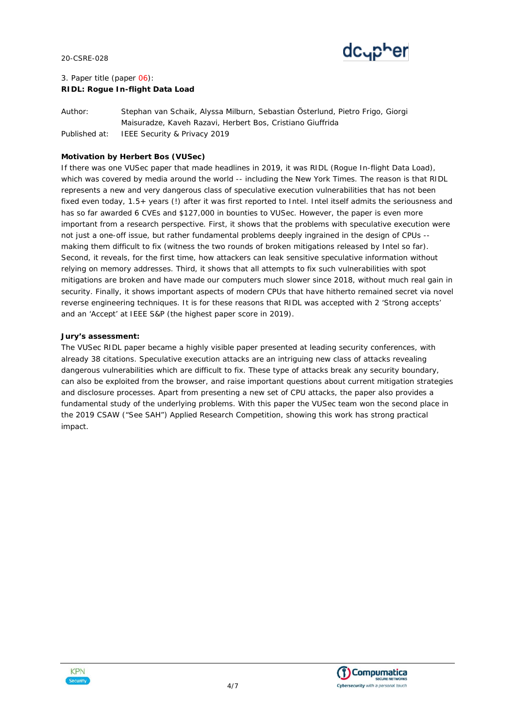

# *3. Paper title (paper 06):* **RIDL: Rogue In-flight Data Load**

*Author:* Stephan van Schaik, Alyssa Milburn, Sebastian Österlund, Pietro Frigo, Giorgi Maisuradze, Kaveh Razavi, Herbert Bos, Cristiano Giuffrida *Published at*: IEEE Security & Privacy 2019

# **Motivation by Herbert Bos (VUSec)**

If there was one VUSec paper that made headlines in 2019, it was RIDL (Rogue In-flight Data Load), which was covered by media around the world -- including the New York Times. The reason is that RIDL represents a new and very dangerous class of speculative execution vulnerabilities that has not been fixed even today, 1.5+ years (!) after it was first reported to Intel. Intel itself admits the seriousness and has so far awarded 6 CVEs and \$127,000 in bounties to VUSec. However, the paper is even more important from a research perspective. First, it shows that the problems with speculative execution were not just a one-off issue, but rather fundamental problems deeply ingrained in the design of CPUs - making them difficult to fix (witness the two rounds of broken mitigations released by Intel so far). Second, it reveals, for the first time, how attackers can leak sensitive speculative information without relying on memory addresses. Third, it shows that all attempts to fix such vulnerabilities with spot mitigations are broken and have made our computers much slower since 2018, without much real gain in security. Finally, it shows important aspects of modern CPUs that have hitherto remained secret via novel reverse engineering techniques. It is for these reasons that RIDL was accepted with 2 'Strong accepts' and an 'Accept' at IEEE S&P (the highest paper score in 2019).

### **Jury's assessment:**

The VUSec RIDL paper became a highly visible paper presented at leading security conferences, with already 38 citations. Speculative execution attacks are an intriguing new class of attacks revealing dangerous vulnerabilities which are difficult to fix. These type of attacks break any security boundary, can also be exploited from the browser, and raise important questions about current mitigation strategies and disclosure processes. Apart from presenting a new set of CPU attacks, the paper also provides a fundamental study of the underlying problems. With this paper the VUSec team won the second place in the 2019 CSAW ("See SAH") Applied Research Competition, showing this work has strong practical impact.



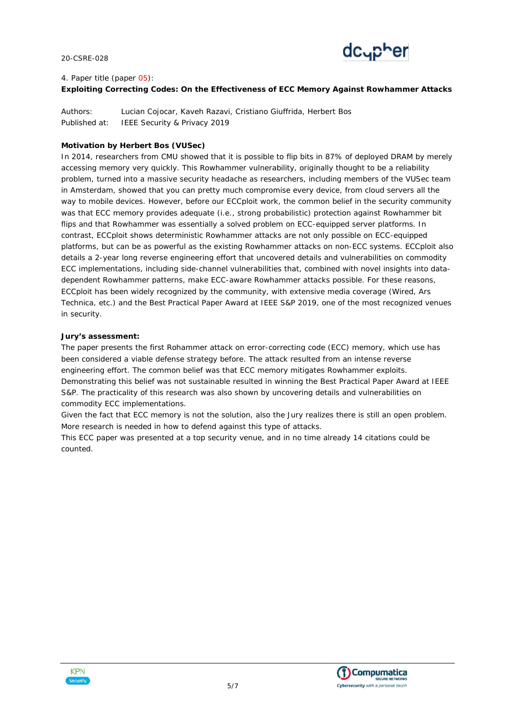

# *4. Paper title (paper 05):* **Exploiting Correcting Codes: On the Effectiveness of ECC Memory Against Rowhammer Attacks**

*Authors:* Lucian Cojocar, Kaveh Razavi, Cristiano Giuffrida, Herbert Bos *Published at*: IEEE Security & Privacy 2019

# **Motivation by Herbert Bos (VUSec)**

In 2014, researchers from CMU showed that it is possible to flip bits in 87% of deployed DRAM by merely accessing memory very quickly. This Rowhammer vulnerability, originally thought to be a reliability problem, turned into a massive security headache as researchers, including members of the VUSec team in Amsterdam, showed that you can pretty much compromise every device, from cloud servers all the way to mobile devices. However, before our ECCploit work, the common belief in the security community was that ECC memory provides adequate (i.e., strong probabilistic) protection against Rowhammer bit flips and that Rowhammer was essentially a solved problem on ECC-equipped server platforms. In contrast, ECCploit shows deterministic Rowhammer attacks are not only possible on ECC-equipped platforms, but can be as powerful as the existing Rowhammer attacks on non-ECC systems. ECCploit also details a 2-year long reverse engineering effort that uncovered details and vulnerabilities on commodity ECC implementations, including side-channel vulnerabilities that, combined with novel insights into datadependent Rowhammer patterns, make ECC-aware Rowhammer attacks possible. For these reasons, ECCploit has been widely recognized by the community, with extensive media coverage (Wired, Ars Technica, etc.) and the Best Practical Paper Award at IEEE S&P 2019, one of the most recognized venues in security.

### **Jury's assessment:**

The paper presents the first Rohammer attack on error-correcting code (ECC) memory, which use has been considered a viable defense strategy before. The attack resulted from an intense reverse engineering effort. The common belief was that ECC memory mitigates Rowhammer exploits. Demonstrating this belief was not sustainable resulted in winning the Best Practical Paper Award at IEEE S&P. The practicality of this research was also shown by uncovering details and vulnerabilities on commodity ECC implementations.

Given the fact that ECC memory is not the solution, also the Jury realizes there is still an open problem. More research is needed in how to defend against this type of attacks.

This ECC paper was presented at a top security venue, and in no time already 14 citations could be counted.



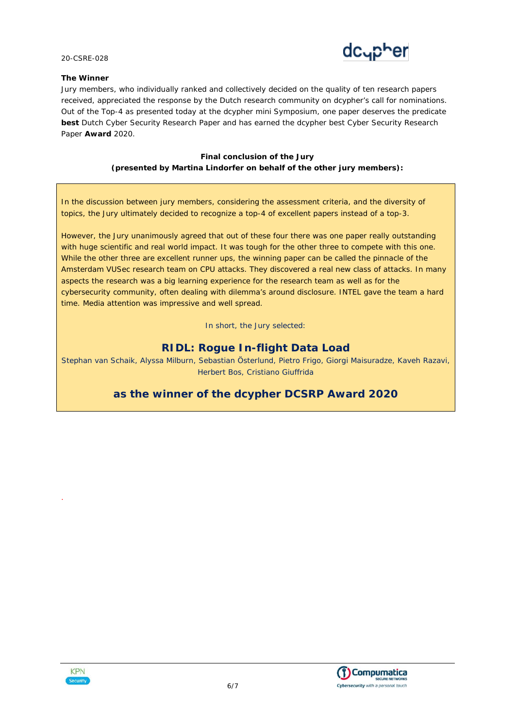

### **The Winner**

Jury members, who individually ranked and collectively decided on the quality of ten research papers received, appreciated the response by the Dutch research community on dcypher's call for nominations. Out of the Top-4 as presented today at the dcypher mini Symposium, one paper deserves the predicate **best** Dutch Cyber Security Research Paper and has earned the dcypher best Cyber Security Research Paper **Award** 2020.

# **Final conclusion of the Jury (presented by Martina Lindorfer on behalf of the other jury members):**

In the discussion between jury members, considering the assessment criteria, and the diversity of topics, the Jury ultimately decided to recognize a top-4 of excellent papers instead of a top-3.

However, the Jury unanimously agreed that out of these four there was one paper really outstanding with huge scientific and real world impact. It was tough for the other three to compete with this one. While the other three are excellent runner ups, the winning paper can be called the pinnacle of the Amsterdam VUSec research team on CPU attacks. They discovered a real new class of attacks. In many aspects the research was a big learning experience for the research team as well as for the cybersecurity community, often dealing with dilemma's around disclosure. INTEL gave the team a hard time. Media attention was impressive and well spread.

In short, the Jury selected:

# **RIDL: Rogue In-flight Data Load**

Stephan van Schaik, Alyssa Milburn, Sebastian Österlund, Pietro Frigo, Giorgi Maisuradze, Kaveh Razavi, Herbert Bos, Cristiano Giuffrida

# **as the winner of the dcypher DCSRP Award 2020**



.